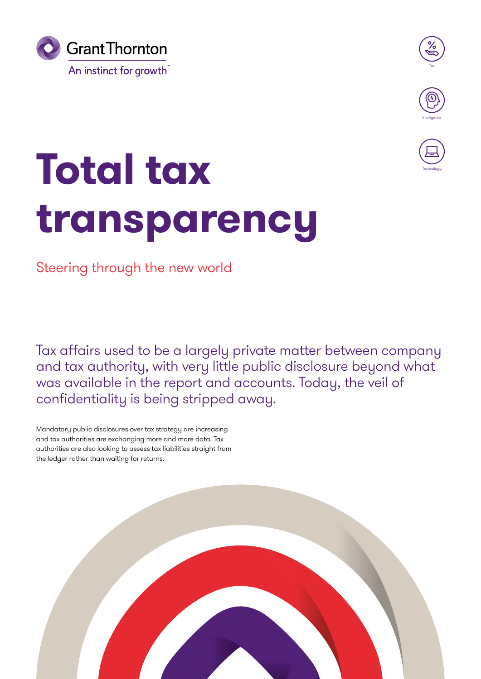



**Technology** 

# **Total tax transparency**

Steering through the new world

Tax affairs used to be a largely private matter between company and tax authority, with very little public disclosure beyond what was available in the report and accounts. Today, the veil of confidentiality is being stripped away.

Mandatory public disclosures over tax strategy are increasing and tax authorities are exchanging more and more data. Tax authorities are also looking to assess tax liabilities straight from the ledger rather than waiting for returns.

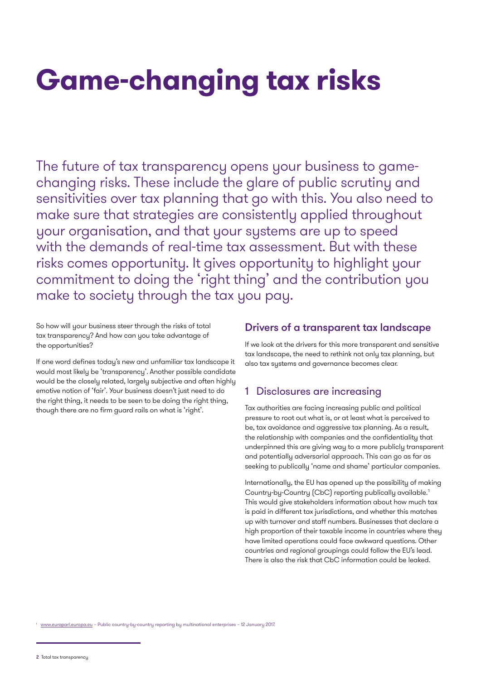# **Game-changing tax risks**

The future of tax transparency opens your business to gamechanging risks. These include the glare of public scrutiny and sensitivities over tax planning that go with this. You also need to make sure that strategies are consistently applied throughout your organisation, and that your systems are up to speed with the demands of real-time tax assessment. But with these risks comes opportunity. It gives opportunity to highlight your commitment to doing the 'right thing' and the contribution you make to society through the tax you pay.

So how will your business steer through the risks of total tax transparency? And how can you take advantage of the opportunities?

If one word defines today's new and unfamiliar tax landscape it would most likely be 'transparency'. Another possible candidate would be the closely related, largely subjective and often highly emotive notion of 'fair'. Your business doesn't just need to do the right thing, it needs to be seen to be doing the right thing, though there are no firm guard rails on what is 'right'.

### Drivers of a transparent tax landscape

If we look at the drivers for this more transparent and sensitive tax landscape, the need to rethink not only tax planning, but also tax systems and governance becomes clear.

## 1 Disclosures are increasing

Tax authorities are facing increasing public and political pressure to root out what is, or at least what is perceived to be, tax avoidance and aggressive tax planning. As a result, the relationship with companies and the confidentiality that underpinned this are giving way to a more publicly transparent and potentially adversarial approach. This can go as far as seeking to publically 'name and shame' particular companies.

Internationally, the EU has opened up the possibility of making Country-by-Country (CbC) reporting publically available.1 This would give stakeholders information about how much tax is paid in different tax jurisdictions, and whether this matches up with turnover and staff numbers. Businesses that declare a high proportion of their taxable income in countries where they have limited operations could face awkward questions. Other countries and regional groupings could follow the EU's lead. There is also the risk that CbC information could be leaked.

[www.europarl.europa.eu](http://www.europarl.europa.eu/RegData/etudes/BRIE/2017/595867/EPRS_BRI(2017)595867_EN.pdf) - Public country-by-country reporting by multinational enterprises - 12 January 2017.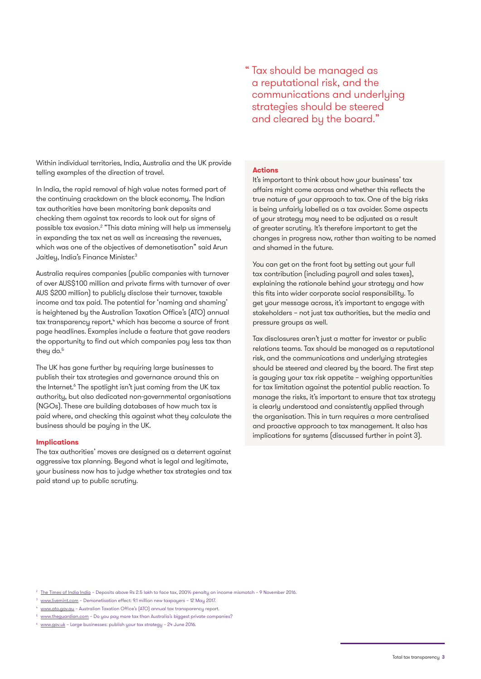Within individual territories, India, Australia and the UK provide telling examples of the direction of travel.

In India, the rapid removal of high value notes formed part of the continuing crackdown on the black economy. The Indian tax authorities have been monitoring bank deposits and checking them against tax records to look out for signs of possible tax evasion.<sup>2</sup> "This data mining will help us immensely in expanding the tax net as well as increasing the revenues, which was one of the objectives of demonetisation" said Arun Jaitley, India's Finance Minister.<sup>3</sup>

Australia requires companies (public companies with turnover of over AUS\$100 million and private firms with turnover of over AUS \$200 million) to publicly disclose their turnover, taxable income and tax paid. The potential for 'naming and shaming' is heightened by the Australian Taxation Office's (ATO) annual tax transparency report,<sup>4</sup> which has become a source of front page headlines. Examples include a feature that gave readers the opportunity to find out which companies pay less tax than theu do.<sup>5</sup>

The UK has gone further by requiring large businesses to publish their tax strategies and governance around this on the Internet.<sup>6</sup> The spotlight isn't just coming from the UK tax authority, but also dedicated non-governmental organisations (NGOs). These are building databases of how much tax is paid where, and checking this against what they calculate the business should be paying in the UK.

#### **Implications**

The tax authorities' moves are designed as a deterrent against aggressive tax planning. Beyond what is legal and legitimate, your business now has to judge whether tax strategies and tax paid stand up to public scrutiny.

#### **Actions**

It's important to think about how your business' tax affairs might come across and whether this reflects the true nature of your approach to tax. One of the big risks is being unfairly labelled as a tax avoider. Some aspects of your strategy may need to be adjusted as a result of greater scrutiny. It's therefore important to get the changes in progress now, rather than waiting to be named and shamed in the future.

You can get on the front foot by setting out your full tax contribution (including payroll and sales taxes), explaining the rationale behind your strategy and how this fits into wider corporate social responsibility. To get your message across, it's important to engage with stakeholders – not just tax authorities, but the media and pressure groups as well.

Tax disclosures aren't just a matter for investor or public relations teams. Tax should be managed as a reputational risk, and the communications and underlying strategies should be steered and cleared by the board. The first step is gauging your tax risk appetite – weighing opportunities for tax limitation against the potential public reaction. To manage the risks, it's important to ensure that tax strategy is clearly understood and consistently applied through the organisation. This in turn requires a more centralised and proactive approach to tax management. It also has implications for systems (discussed further in point 3).

<sup>&</sup>lt;sup>2</sup> [The Times of India India](http://timesofindia.indiatimes.com/india/Deposits-above-Rs-2-5-lakh-to-face-tax-200-penalty-on-income-mismatch/articleshow/55337762.cms) – Deposits above Rs 2.5 lakh to face tax, 200% penalty on income mismatch – 9 November 2016.

<sup>&</sup>lt;sup>3</sup> [www.livemint.com](http://www.livemint.com/Politics/WRTgYztM2cSiT0deLmMWjN/Demonetisation-effect-91-million-new-taxpayers.html) - Demonetisation effect: 9.1 million new taxpayers - 12 May 2017.

<sup>4</sup> [www.ato.gov.au](https://www.ato.gov.au/Business/Large-business/In-detail/Tax-transparency/Corporate-tax-transparency-report-for-the-2014-15-income-year/) – Australian Taxation Office's (ATO) annual tax transparency report.

[www.theguardian.com](https://www.theguardian.com/news/datablog/ng-interactive/2016/mar/22/do-you-pay-more-tax-than-australias-biggest-private-companies) - Do you pay more tax than Australia's biggest private companies?

[www.gov.uk](https://www.gov.uk/guidance/large-businesses-publish-your-tax-strategy) - Large businesses: publish your tax strategy - 24 June 2016.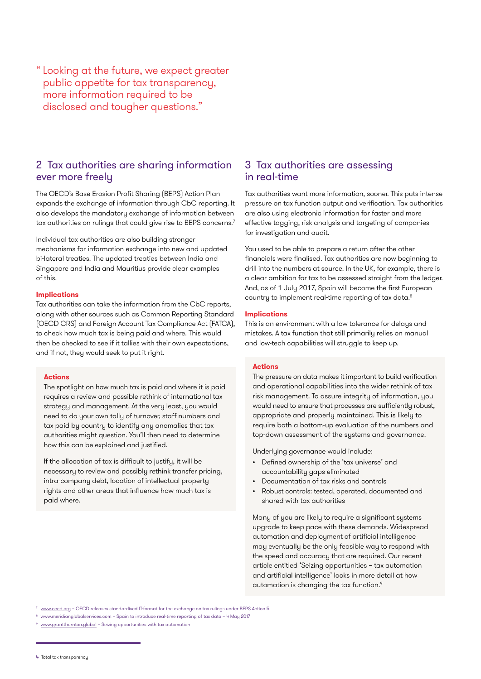Looking at the future, we expect greater " public appetite for tax transparency, more information required to be disclosed and tougher questions."

# 2 Tax authorities are sharing information ever more freely

The OECD's Base Erosion Profit Sharing (BEPS) Action Plan expands the exchange of information through CbC reporting. It also develops the mandatory exchange of information between tax authorities on rulings that could give rise to BEPS concerns.7

Individual tax authorities are also building stronger mechanisms for information exchange into new and updated bi-lateral treaties. The updated treaties between India and Singapore and India and Mauritius provide clear examples of this.

#### **Implications**

Tax authorities can take the information from the CbC reports, along with other sources such as Common Reporting Standard (OECD CRS) and Foreign Account Tax Compliance Act (FATCA), to check how much tax is being paid and where. This would then be checked to see if it tallies with their own expectations, and if not, they would seek to put it right.

#### **Actions**

The spotlight on how much tax is paid and where it is paid requires a review and possible rethink of international tax strategy and management. At the very least, you would need to do your own tally of turnover, staff numbers and tax paid by country to identify any anomalies that tax authorities might question. You'll then need to determine how this can be explained and justified.

If the allocation of tax is difficult to justify, it will be necessary to review and possibly rethink transfer pricing, intra-company debt, location of intellectual property rights and other areas that influence how much tax is paid where.

## 3 Tax authorities are assessing in real-time

Tax authorities want more information, sooner. This puts intense pressure on tax function output and verification. Tax authorities are also using electronic information for faster and more effective tagging, risk analysis and targeting of companies for investigation and audit.

You used to be able to prepare a return after the other financials were finalised. Tax authorities are now beginning to drill into the numbers at source. In the UK, for example, there is a clear ambition for tax to be assessed straight from the ledger. And, as of 1 July 2017, Spain will become the first European country to implement real-time reporting of tax data.<sup>8</sup>

#### **Implications**

This is an environment with a low tolerance for delays and mistakes. A tax function that still primarily relies on manual and low-tech capabilities will struggle to keep up.

#### **Actions**

The pressure on data makes it important to build verification and operational capabilities into the wider rethink of tax risk management. To assure integrity of information, you would need to ensure that processes are sufficiently robust, appropriate and properly maintained. This is likely to require both a bottom-up evaluation of the numbers and top-down assessment of the systems and governance.

Underlying governance would include:

- Defined ownership of the 'tax universe' and accountability gaps eliminated
- Documentation of tax risks and controls
- Robust controls: tested, operated, documented and shared with tax authorities

Many of you are likely to require a significant systems upgrade to keep pace with these demands. Widespread automation and deployment of artificial intelligence may eventually be the only feasible way to respond with the speed and accuracy that are required. Our recent article entitled 'Seizing opportunities – tax automation and artificial intelligence' looks in more detail at how automation is changing the tax function.<sup>9</sup>

[www.oecd.org](http://www.oecd.org/tax/beps/oecd-releases-standardised-it-format-for-the-exchange-on-tax-rulings-under-beps-action-5.htm) - OECD releases standardised IT-format for the exchange on tax rulings under BEPS Action 5.

- <sup>8</sup> [www.meridianglobalservices.com](https://www.meridianglobalservices.com/blog/2017/05/04/Spain-to-introduce-real-time-reporting-of-tax-data) Spain to introduce real-time reporting of tax data 4 May 2017
- [www.grantthornton.global](https://www.grantthornton.global/en/insights/articles/tax-automation-and-artificial-intelligence/)  Seizing opportunities with tax automation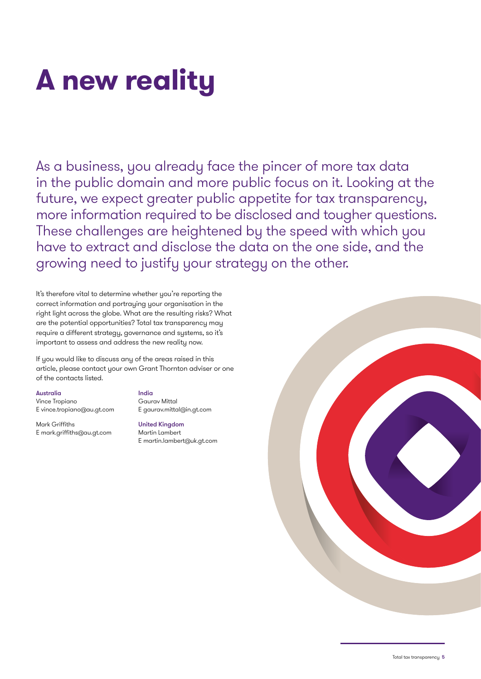# **A new reality**

As a business, you already face the pincer of more tax data in the public domain and more public focus on it. Looking at the future, we expect greater public appetite for tax transparency, more information required to be disclosed and tougher questions. These challenges are heightened by the speed with which you have to extract and disclose the data on the one side, and the growing need to justify your strategy on the other.

It's therefore vital to determine whether you're reporting the correct information and portraying your organisation in the right light across the globe. What are the resulting risks? What are the potential opportunities? Total tax transparency may require a different strategy, governance and systems, so it's important to assess and address the new reality now.

If you would like to discuss any of the areas raised in this article, please contact your own Grant Thornton adviser or one of the contacts listed.

#### Australia

Vince Tropiano E [vince.tropiano@au.gt.com](mailto:vince.tropiano%40au.gt.com?subject=)

Mark Griffiths E [mark.griffiths@au.gt.com](mailto:mark.griffiths%40au.gt.com?subject=) India

Gaurav Mittal E [gaurav.mittal@in.gt.com](mailto:gaurav.mittal%40in.gt.com?subject=)

United Kingdom Martin Lambert E [martin.lambert@uk.gt.com](mailto:martin.lambert%40uk.gt.com?subject=)